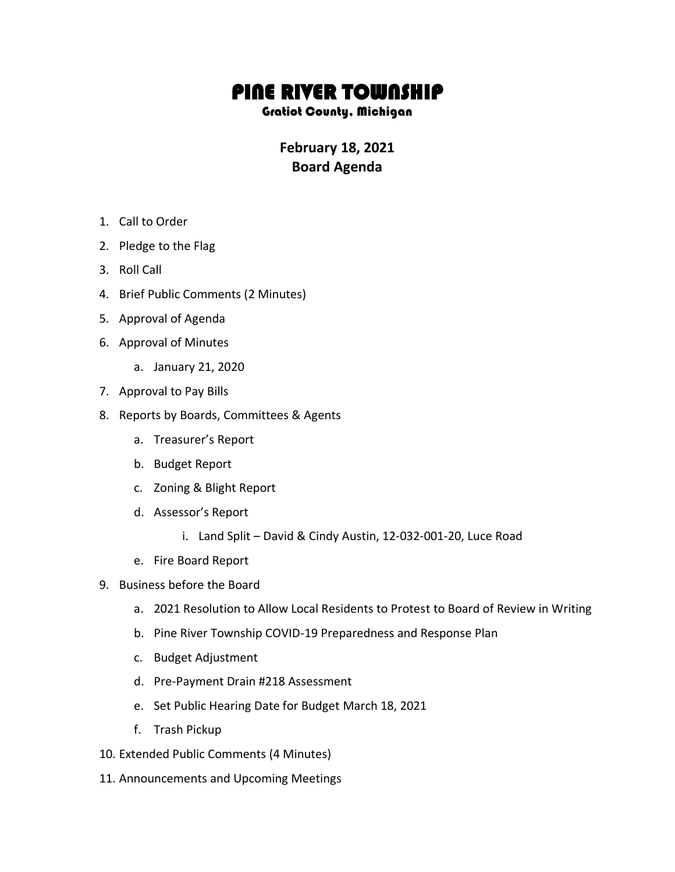## PINE RIVER TOWNSHIP

Gratiot County, Michigan

**February 18, 2021 Board Agenda**

- 1. Call to Order
- 2. Pledge to the Flag
- 3. Roll Call
- 4. Brief Public Comments (2 Minutes)
- 5. Approval of Agenda
- 6. Approval of Minutes
	- a. January 21, 2020
- 7. Approval to Pay Bills
- 8. Reports by Boards, Committees & Agents
	- a. Treasurer's Report
	- b. Budget Report
	- c. Zoning & Blight Report
	- d. Assessor's Report
		- i. Land Split David & Cindy Austin, 12-032-001-20, Luce Road
	- e. Fire Board Report
- 9. Business before the Board
	- a. 2021 Resolution to Allow Local Residents to Protest to Board of Review in Writing
	- b. Pine River Township COVID-19 Preparedness and Response Plan
	- c. Budget Adjustment
	- d. Pre-Payment Drain #218 Assessment
	- e. Set Public Hearing Date for Budget March 18, 2021
	- f. Trash Pickup
- 10. Extended Public Comments (4 Minutes)
- 11. Announcements and Upcoming Meetings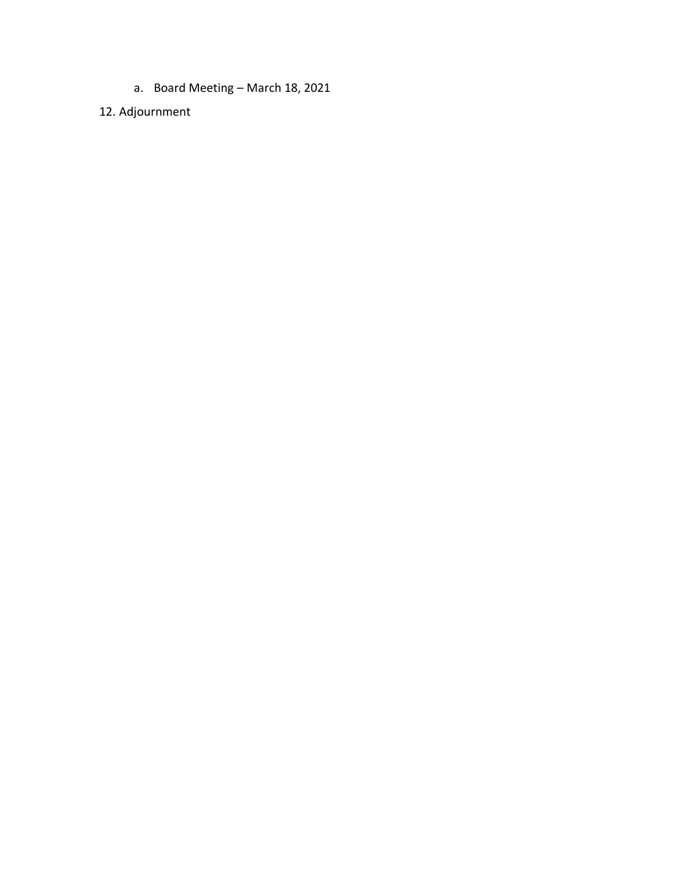a. Board Meeting – March 18, 2021

## 12. Adjournment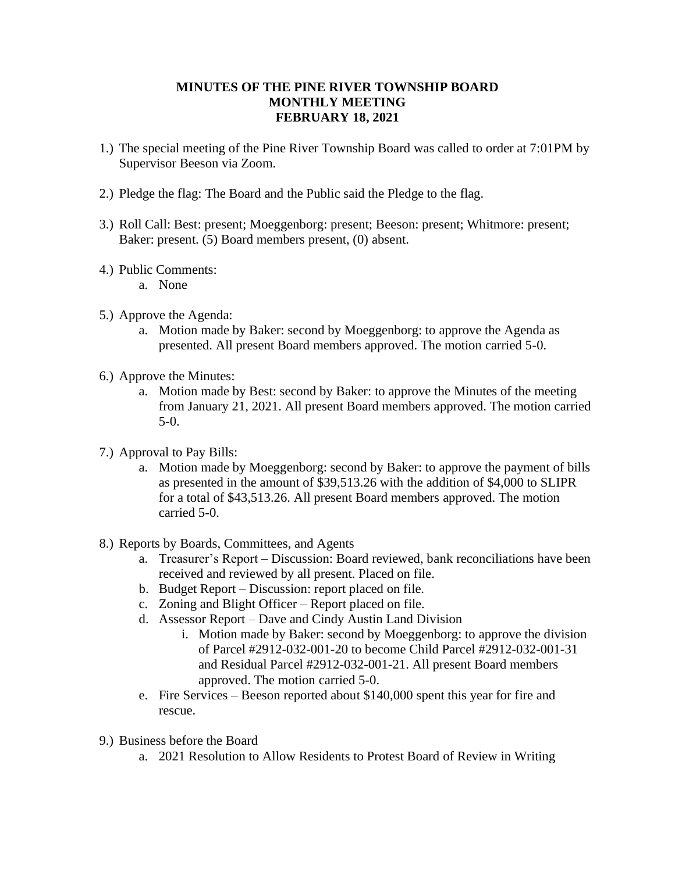## **MINUTES OF THE PINE RIVER TOWNSHIP BOARD MONTHLY MEETING FEBRUARY 18, 2021**

- 1.) The special meeting of the Pine River Township Board was called to order at 7:01PM by Supervisor Beeson via Zoom.
- 2.) Pledge the flag: The Board and the Public said the Pledge to the flag.
- 3.) Roll Call: Best: present; Moeggenborg: present; Beeson: present; Whitmore: present; Baker: present. (5) Board members present, (0) absent.
- 4.) Public Comments:
	- a. None
- 5.) Approve the Agenda:
	- a. Motion made by Baker: second by Moeggenborg: to approve the Agenda as presented. All present Board members approved. The motion carried 5-0.
- 6.) Approve the Minutes:
	- a. Motion made by Best: second by Baker: to approve the Minutes of the meeting from January 21, 2021. All present Board members approved. The motion carried 5-0.
- 7.) Approval to Pay Bills:
	- a. Motion made by Moeggenborg: second by Baker: to approve the payment of bills as presented in the amount of \$39,513.26 with the addition of \$4,000 to SLIPR for a total of \$43,513.26. All present Board members approved. The motion carried 5-0.
- 8.) Reports by Boards, Committees, and Agents
	- a. Treasurer's Report Discussion: Board reviewed, bank reconciliations have been received and reviewed by all present. Placed on file.
	- b. Budget Report Discussion: report placed on file.
	- c. Zoning and Blight Officer Report placed on file.
	- d. Assessor Report Dave and Cindy Austin Land Division
		- i. Motion made by Baker: second by Moeggenborg: to approve the division of Parcel #2912-032-001-20 to become Child Parcel #2912-032-001-31 and Residual Parcel #2912-032-001-21. All present Board members approved. The motion carried 5-0.
	- e. Fire Services Beeson reported about \$140,000 spent this year for fire and rescue.
- 9.) Business before the Board
	- a. 2021 Resolution to Allow Residents to Protest Board of Review in Writing